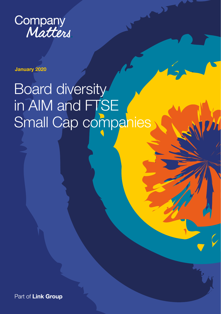

January 2020

# Board diversity in AIM and FTSE Small Cap companies

Part of Link Group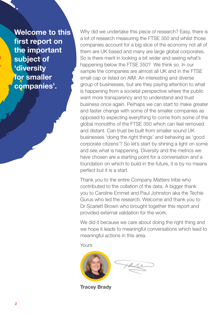Welcome to this first report on the important subject of 'diversity for smaller companies'.

Why did we undertake this piece of research? Easy, there is a lot of research measuring the FTSE 350 and whilst those companies account for a big slice of the economy not all of them are UK based and many are large global corporates. So is there merit in looking a bit wider and seeing what's happening below the FTSE 350? We think so. In our sample the companies are almost all UK and in the FTSE small cap or listed on AIM. An interesting and diverse group of businesses, but are they paying attention to what is happening from a societal perspective where the public want more transparency and to understand and trust business once again. Perhaps we can start to make greater and faster change with some of the smaller companies as opposed to expecting everything to come from some of the global monoliths of the FTSE 350 which can feel removed and distant. Can trust be built from smaller sound UK businesses 'doing the right things' and behaving as 'good corporate citizens'? So let's start by shining a light on some and see what is happening. Diversity and the metrics we have chosen are a starting point for a conversation and a foundation on which to build in the future, it is by no means perfect but it is a start.

Thank you to the entire Company Matters tribe who contributed to the collation of the data. A bigger thank you to Caroline Emmet and Paul Johnston aka the Techie Gurus who led the research. Welcome and thank you to Dr Scarlett Brown who brought together this report and provided external validation for the work.

We did it because we care about doing the right thing and we hope it leads to meaningful conversations which lead to meaningful actions in this area.

Yours



Tracey Brady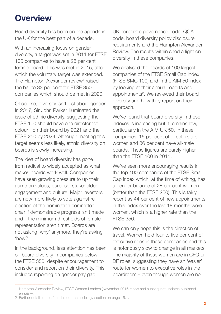### **Overview**

Board diversity has been on the agenda in the UK for the best part of a decade.

With an increasing focus on gender diversity, a target was set in 2011 for FTSE 100 companies to have a 25 per cent female board. This was met in 2015, after which the voluntary target was extended. The Hampton-Alexander review<sup>1</sup> raised the bar to 33 per cent for FTSE 350 companies which should be met in 2020.

Of course, diversity isn't just about gender. In 2017, Sir John Parker illuminated the issue of ethnic diversity, suggesting the FTSE 100 should have one director 'of colour'2 on their board by 2021 and the FTSE 250 by 2024. Although meeting this target seems less likely, ethnic diversity on boards is slowly increasing.

The idea of board diversity has gone from radical to widely accepted as what makes boards work well. Companies have seen growing pressure to up their game on values, purpose, stakeholder engagement and culture. Major investors are now more likely to vote against reelection of the nomination committee chair if demonstrable progress isn't made and if the minimum thresholds of female representation aren't met. Boards are not asking 'why' anymore, they're asking 'how?'

In the background, less attention has been on board diversity in companies below the FTSE 350, despite encouragement to consider and report on their diversity. This includes reporting on gender pay gap,

UK corporate governance code, QCA code, board diversity policy disclosure requirements and the Hampton Alexander Review. The results within shed a light on diversity in these companies.

We analysed the boards of 100 largest companies of the FTSE Small Cap index (FTSE SMC 100) and in the AIM 50 index by looking at their annual reports and appointments<sup>2</sup>. We reviewed their board diversity and how they report on their approach.

We've found that board diversity in these indexes is increasing but it remains low, particularly in the AIM UK 50. In these companies, 15 per cent of directors are women and 36 per cent have all-male boards. These figures are barely higher than the FTSE 100 in 2011.

We've seen more encouraging results in the top 100 companies of the FTSE Small Cap index which, at the time of writing, has a gender balance of 28 per cent women (better than the FTSE 250). This is fairly recent as 44 per cent of new appointments in this index over the last 18 months were women, which is a higher rate than the FTSE 350.

We can only hope this is the direction of travel. Women hold four to five per cent of executive roles in these companies and this is notoriously slow to change in all markets. The majority of these women are in CFO or DF roles, suggesting they have an 'easier' route for women to executive roles in the boardroom – even though women are no

<sup>1</sup> Hampton-Alexander Review, FTSE Women Leaders (November 2016 report and subsequent updates published annually).

<sup>2</sup> Further detail can be found in our methodology section on page 15. .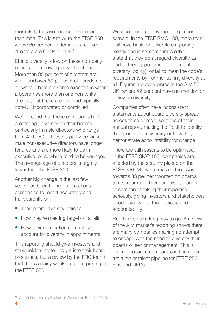more likely to have financial experience than men. This is similar to the FTSE 350 where 60 per cent of female executive directors are CFOs or FDs.3

Ethnic diversity is low on these company boards too, showing very little change. More than 95 per cent of directors are white and over 80 per cent of boards are all-white. There are some exceptions where a board has more than one non-white director, but these are rare and typically non-UK incorporated or domiciled.

We've found that these companies have greater age diversity on their boards, particularly in male directors who range from 40 to 80+. These is partly because male non-executive directors have longer tenures and are more likely to be in executive roles, which tend to be younger. The average age of directors is slightly lower than the FTSE 350.

Another big change in the last few years has been higher expectations for companies to report accurately and transparently on:

- Their board diversity policies
- How they're meeting targets (if at all)
- How their nomination committees account for diversity in appointments

This reporting should give investors and stakeholders better insight into their board processes, but a review by the FRC found that this is a fairly weak area of reporting in the FTSE 350.

We also found patchy reporting in our sample. In the FTSF SMC 100, more than half have basic or boilerplate reporting. Nearly one in six companies either state that they don't regard diversity as part of their appointments (ie an 'antidiversity' policy), or fail to meet the code's requirements by not mentioning diversity at all. Figures are even worse in the AIM 50 UK, where 42 per cent have no mention or policy on diversity.

Companies often have inconsistent statements about board diversity spread across three or more sections of their annual report, making it difficult to identify their position on diversity or how they demonstrate accountability for change.

There are still reasons to be optimistic. In the FTSE SMC 100, companies are affected by the scrutiny placed on the FTSE 350. Many are making their way towards 33 per cent women on boards at a similar rate. There are also a handful of companies taking their reporting seriously, giving investors and stakeholders good visibility into their policies and accountability.

But there's still a long way to go. A review of the AIM market's reporting shows there are many companies making no attempt to engage with the need to diversify their boards or senior management. This is crucial, because companies in this index are a major talent pipeline for FTSE 250 EDs and NEDs.

<sup>3</sup> Cranfield University Review of Women on Boards, 2019.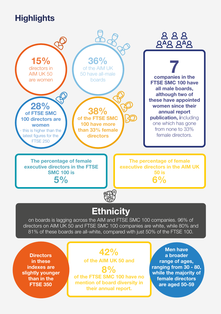# **Highlights**



**Directors** in these indexes are slightly younger than in the FTSE 350

42% of the AIM UK 50 and

8% of the FTSE SMC 100 have no mention of board diversity in their annual report.

Men have a broader range of ages, ranging from 30 - 80, while the majority of female directors are aged 50-59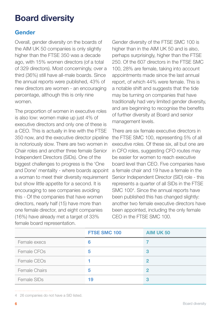## Board diversity

#### Gender

Overall, gender diversity on the boards of the AIM UK 50 companies is only slightly higher than the FTSE 350 was a decade ago, with 15% women directors (of a total of 329 directors). Most concerningly, over a third (36%) still have all-male boards. Since the annual reports were published, 43% of new directors are women - an encouraging percentage, although this is only nine women.

The proportion of women in executive roles is also low: women make up just 4% of executive directors and only one of these is a CEO. This is actually in line with the FTSE 350 now, and the executive director pipeline is notoriously slow. There are two women in Chair roles and another three female Senior Independent Directors (SIDs). One of the biggest challenges to progress is the 'One and Done' mentality - where boards appoint a woman to meet their diversity requirement but show little appetite for a second. It is encouraging to see companies avoiding this - Of the companies that have women directors, nearly half (15) have more than one female director, and eight companies (16%) have already met a target of 33% female board representation.

Gender diversity of the FTSE SMC 100 is higher than in the AIM UK 50 and is also, perhaps surprisingly, higher than the FTSE 250. Of the 607 directors in the FTSE SMC 100, 28% are female, taking into account appointments made since the last annual report, of which 44% were female. This is a notable shift and suggests that the tide may be turning on companies that have traditionally had very limited gender diversity, and are beginning to recognise the benefits of further diversity at Board and senior management levels.

There are six female executive directors in the FTSE SMC 100, representing 5% of all executive roles. Of these six, all but one are in CFO roles, suggesting CFO routes may be easier for women to reach executive board level than CEO. Five companies have a female chair and 19 have a female in the Senior Independent Director (SID) role - this represents a quarter of all SIDs in the FTSE SMC 100<sup>4</sup>. Since the annual reports have been published this has changed slightly: another two female executive directors have been appointed, including the only female CEO in the FTSE SMC 100.

|               | <b>FTSE SMC 100</b> | <b>AIM UK 50</b> |
|---------------|---------------------|------------------|
| Female execs  | 6                   |                  |
| Female CFOs   | 5                   | 3                |
| Female CEOs   |                     | $\mathbf{2}$     |
| Female Chairs | 5                   | 2                |
| Female SIDs   | 19                  | 3                |

4 26 companies do not have a SID listed.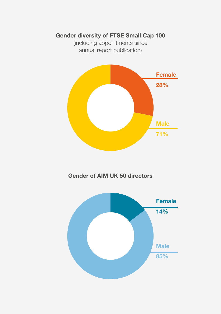#### Gender diversity of FTSE Small Cap 100

(including appointments since annual report publication)



Gender of AIM UK 50 directors

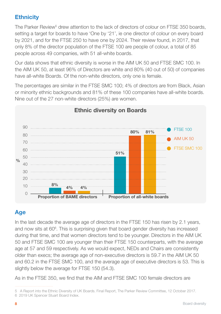#### **Ethnicity**

The Parker Review<sup>5</sup> drew attention to the lack of directors of colour on FTSE 350 boards, setting a target for boards to have 'One by '21', ie one director of colour on every board by 2021, and for the FTSE 250 to have one by 2024. Their review found, in 2017, that only 8% of the director population of the FTSE 100 are people of colour, a total of 85 people across 49 companies, with 51 all-white boards.

Our data shows that ethnic diversity is worse in the AIM UK 50 and FTSE SMC 100. In the AIM UK 50, at least 96% of Directors are white and 80% (40 out of 50) of companies have all-white Boards. Of the non-white directors, only one is female.

The percentages are similar in the FTSE SMC 100; 4% of directors are from Black, Asian or minority ethnic backgrounds and 81% of these 100 companies have all-white boards. Nine out of the 27 non-white directors (25%) are women.



#### Ethnic diversity on Boards

#### Age

In the last decade the average age of directors in the FTSE 150 has risen by 2.1 years, and now sits at 60<sup>6</sup>. This is surprising given that board gender diversity has increased during that time, and that women directors tend to be younger. Directors in the AIM UK 50 and FTSE SMC 100 are younger than their FTSE 150 counterparts, with the average age at 57 and 59 respectively. As we would expect, NEDs and Chairs are consistently older than execs; the average age of non-executive directors is 59.7 in the AIM UK 50 and 60.2 in the FTSE SMC 100, and the average age of executive directors is 53. This is slightly below the average for FTSE 150 (54.3).

As in the FTSE 350, we find that the AIM and FTSE SMC 100 female directors are

<sup>5</sup> A Report into the Ethnic Diversity of UK Boards. Final Report, The Parker Review Committee, 12 October 2017.

<sup>6 2019</sup> UK Spencer Stuart Board Index.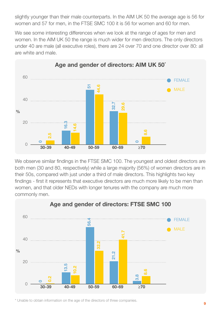slightly younger than their male counterparts. In the AIM UK 50 the average age is 56 for women and 57 for men, in the FTSE SMC 100 it is 56 for women and 60 for men.

We see some interesting differences when we look at the range of ages for men and women. In the AIM UK 50 the range is much wider for men directors. The only directors under 40 are male (all executive roles), there are 24 over 70 and one director over 80: all are white and male.



We observe similar findings in the FTSE SMC 100. The youngest and oldest directors are both men (30 and 80, respectively) while a large majority (56%) of women directors are in their 50s, compared with just under a third of male directors. This highlights two key findings - first it represents that executive directors are much more likely to be men than women, and that older NEDs with longer tenures with the company are much more commonly men.



\* Unable to obtain information on the age of the directors of three companies.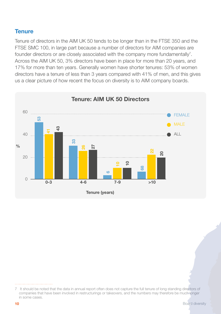#### **Tenure**

Tenure of directors in the AIM UK 50 tends to be longer than in the FTSE 350 and the FTSE SMC 100, in large part because a number of directors for AIM companies are founder directors or are closely associated with the company more fundamentally<sup>7</sup>. Across the AIM UK 50, 3% directors have been in place for more than 20 years, and 17% for more than ten years. Generally women have shorter tenures: 53% of women directors have a tenure of less than 3 years compared with 41% of men, and this gives us a clear picture of how recent the focus on diversity is to AIM company boards.



<sup>7</sup> It should be noted that the data in annual report often does not capture the full tenure of long standing directors of companies that have been involved in restructurings or takeovers, and the numbers may therefore be much longer in some cases.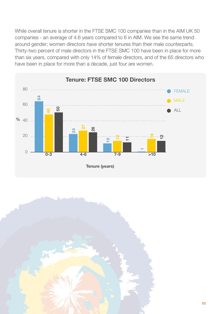While overall tenure is shorter in the FTSE SMC 100 companies than in the AIM UK 50 companies - an average of 4.6 years compared to 6 in AIM. We see the same trend around gender; women directors have shorter tenures than their male counterparts. Thirty-two percent of male directors in the FTSE SMC 100 have been in place for more than six years, compared with only 14% of female directors, and of the 65 directors who have been in place for more than a decade, just four are women.



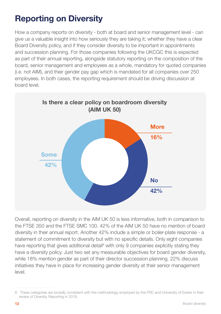# Reporting on Diversity

How a company reports on diversity - both at board and senior management level - can give us a valuable insight into how seriously they are taking it; whether they have a clear Board Diversity policy, and if they consider diversity to be important in appointments and succession planning. For those companies following the UKCGC this is expected as part of their annual reporting, alongside statutory reporting on the composition of the board, senior management and employees as a whole, mandatory for quoted companies (i.e. not AIM), and their gender pay gap which is mandated for all companies over 250 employees. In both cases, the reporting requirement should be driving discussion at board level.



Overall, reporting on diversity in the AIM UK 50 is less informative, both in comparison to the FTSE 350 and the FTSE SMC 100. 42% of the AIM UK 50 have no mention of board diversity in their annual report. Another 42% include a simple or boiler-plate response - a statement of commitment to diversity but with no specific details. Only eight companies have reporting that gives additional detail<sup>8</sup> with only 9 companies explicitly stating they have a diversity policy. Just two set any measurable objectives for board gender diversity, while 18% mention gender as part of their director succession planning. 22% discuss initiatives they have in place for increasing gender diversity at their senior management level.

<sup>8</sup> These categories are broadly consistent with the methodology employed by the FRC and University of Exeter in their review of Diversity Reporting in 2018.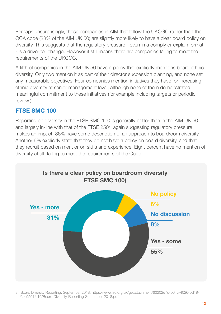Perhaps unsurprisingly, those companies in AIM that follow the UKCGC rather than the QCA code (38% of the AIM UK 50) are slightly more likely to have a clear board policy on diversity. This suggests that the regulatory pressure - even in a comply or explain format - is a driver for change. However it still means there are companies failing to meet the requirements of the UKCGC.

A fifth of companies in the AIM UK 50 have a policy that explicitly mentions board ethnic diversity. Only two mention it as part of their director succession planning, and none set any measurable objectives. Four companies mention initiatives they have for increasing ethnic diversity at senior management level, although none of them demonstrated meaningful commitment to these initiatives (for example including targets or periodic review.)

#### FTSE SMC 100

Reporting on diversity in the FTSE SMC 100 is generally better than in the AIM UK 50, and largely in-line with that of the FTSE 2509 , again suggesting regulatory pressure makes an impact. 86% have some description of an approach to boardroom diversity. Another 6% explicitly state that they do not have a policy on board diversity, and that they recruit based on merit or on skills and experience. Eight percent have no mention of diversity at all, failing to meet the requirements of the Code.



<sup>9</sup> Board Diversity Reporting, September 2018. [https://www.frc.org.uk/getattachment/62202e7d-064c-4026-bd19](https://www.frc.org.uk/getattachment/62202e7d-064c-4026-bd19-f9ac9591fe19/Board-Diversity-Reporting-September-2018.pdf) [f9ac9591fe19/Board-Diversity-Reporting-September-2018.pdf](https://www.frc.org.uk/getattachment/62202e7d-064c-4026-bd19-f9ac9591fe19/Board-Diversity-Reporting-September-2018.pdf)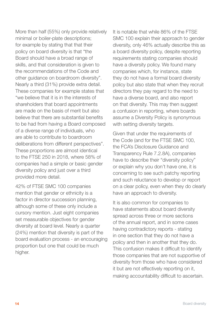More than half (55%) only provide relatively minimal or boiler-plate descriptions; for example by stating that that their policy on board diversity is that "the Board should have a broad range of skills, and that consideration is given to the recommendations of the Code and other guidance on boardroom diversity". Nearly a third (31%) provide extra detail. These companies for example states that "we believe that it is in the interests of shareholders that board appointments are made on the basis of merit but also believe that there are substantial benefits to be had from having a Board composed of a diverse range of individuals, who are able to contribute to boardroom deliberations from different perspectives". These proportions are almost identical to the FTSE 250 in 2018, where 58% of companies had a simple or basic gender diversity policy and just over a third provided more detail.

42% of FTSE SMC 100 companies mention that gender or ethnicity is a factor in director succession planning, although some of these only include a cursory mention. Just eight companies set measurable objectives for gender diversity at board level. Nearly a quarter (24%) mention that diversity is part of the board evaluation process - an encouraging proportion but one that could be much higher.

It is notable that while 86% of the FTSE SMC 100 explain their approach to gender diversity, only 46% actually describe this as a board diversity policy, despite reporting requirements stating companies should have a diversity policy. We found many companies which, for instance, state they do not have a formal board diversity policy but also state that when they recruit directors they pay regard to the need to have a diverse board, and also report on that diversity. This may then suggest a confusion in reporting, where boards assume a Diversity Policy is synonymous with setting diversity targets.

Given that under the requirements of the Code (and for the FTSE SMC 100, the FCA's Disclosure Guidance and Transparency Rule 7.2.8A), companies have to describe their "diversity policy" or explain why you don't have one, it is concerning to see such patchy reporting and such reluctance to develop or report on a clear policy, even when they do clearly have an approach to diversity.

It is also common for companies to have statements about board diversity spread across three or more sections of the annual report, and in some cases having contradictory reports - stating in one section that they do not have a policy and then in another that they do. This confusion makes it difficult to identify those companies that are not supportive of diversity from those who have considered it but are not effectively reporting on it, making accountability difficult to ascertain.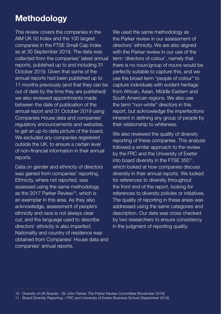# **Methodology**

This review covers the companies in the AIM UK 50 Index and the 100 largest companies in the FTSE Small Cap Index as at 30 September 2019. The data was collected from the companies' latest annual reports, published up to and including 31 October 2019. Given that some of the annual reports had been published up to 11 months previously (and that they can be out of date by the time they are published) we also reviewed appointments made between the date of publication of the annual report and 31 October 2019 using Companies House data and companies' regulatory announcements and websites, to get an up-to-date picture of the board. We excluded any companies registered outside the UK, to ensure a certain level of non-financial information in their annual reports.

Data on gender and ethnicity of directors was gained from companies' reporting. Ethnicity, where not reported, was assessed using the same methodology as the 2017 Parker Review<sup>10</sup>, which is an exemplar in this area. As they also acknowledge, assessment of people's ethnicity and race is not always clear cut, and the language used to describe directors' ethnicity is also imperfect. Nationality and country of residence was obtained from Companies' House data and companies' annual reports.

We used the same methodology as the Parker review in our assessment of directors' ethnicity. We are also aligned with the Parker review in our use of the term 'directors of colour', namely that there is no noun/group of nouns would be perfectly suitable to capture this, and we use the broad term "people of colour" to capture individuals with evident heritage from African, Asian, Middle Eastern and South American regions. We also use the term "non-white" directors in this report, but acknowledge the imperfections inherent in defining any group of people by their relationship to whiteness.

We also reviewed the quality of diversity reporting of these companies. This analysis followed a similar approach to the review by the FRC and the University of Exeter into board diversity in the FTSE 350<sup>11</sup>, which looked at how companies discuss diversity in their annual reports. We looked for references to diversity throughout the front end of the report, looking for references to diversity policies or initiatives. The quality of reporting in these areas was addressed using the same categories and description. Our data was cross checked by two researchers to ensure consistency in the judgment of reporting quality.

<sup>10</sup> Diversity of UK Boards – Sir John Parker, The Parker Review Committee (November 2016)

<sup>11</sup> Board Diversity Reporting – FRC and University of Exeter Business School (September 2018)